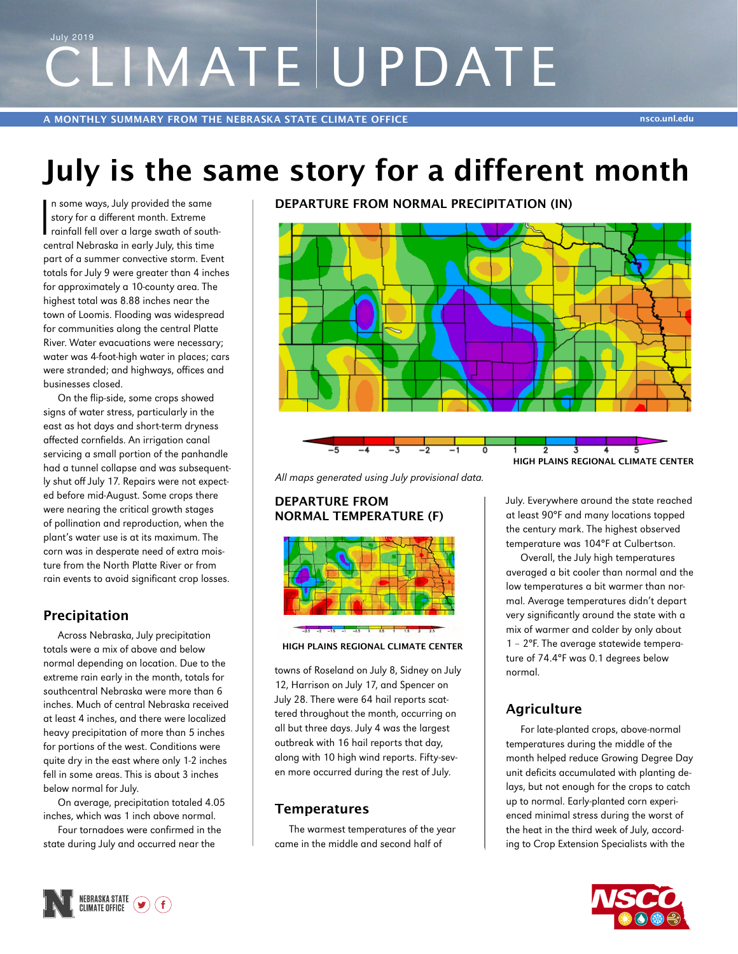# CLIMATE UPDATE July 2019

**A MONTHLY SUMMARY FROM THE NEBRASKA STATE CLIMATE OFFICE nsco.unl.edu**

# **July is the same story for a different month**

 $\overline{\mathbf{I}}$ n some ways, July provided the same story for a different month. Extreme rainfall fell over a large swath of southcentral Nebraska in early July, this time part of a summer convective storm. Event totals for July 9 were greater than 4 inches for approximately a 10-county area. The highest total was 8.88 inches near the town of Loomis. Flooding was widespread for communities along the central Platte River. Water evacuations were necessary; water was 4-foot-high water in places; cars were stranded; and highways, offices and businesses closed.

On the flip-side, some crops showed signs of water stress, particularly in the east as hot days and short-term dryness affected cornfields. An irrigation canal servicing a small portion of the panhandle had a tunnel collapse and was subsequently shut off July 17. Repairs were not expected before mid-August. Some crops there were nearing the critical growth stages of pollination and reproduction, when the plant's water use is at its maximum. The corn was in desperate need of extra moisture from the North Platte River or from rain events to avoid significant crop losses.

### **Precipitation**

Across Nebraska, July precipitation totals were a mix of above and below normal depending on location. Due to the extreme rain early in the month, totals for southcentral Nebraska were more than 6 inches. Much of central Nebraska received at least 4 inches, and there were localized heavy precipitation of more than 5 inches for portions of the west. Conditions were quite dry in the east where only 1-2 inches fell in some areas. This is about 3 inches below normal for July.

On average, precipitation totaled 4.05 inches, which was 1 inch above normal.

Four tornadoes were confirmed in the state during July and occurred near the

**DEPARTURE FROM NORMAL PRECIPITATION (IN)**



*All maps generated using July provisional data.*

#### **DEPARTURE FROM NORMAL TEMPERATURE (F)**





towns of Roseland on July 8, Sidney on July 12, Harrison on July 17, and Spencer on July 28. There were 64 hail reports scattered throughout the month, occurring on all but three days. July 4 was the largest outbreak with 16 hail reports that day, along with 10 high wind reports. Fifty-seven more occurred during the rest of July.

#### **Temperatures**

The warmest temperatures of the year came in the middle and second half of

July. Everywhere around the state reached at least 90°F and many locations topped the century mark. The highest observed temperature was 104°F at Culbertson.

Overall, the July high temperatures averaged a bit cooler than normal and the low temperatures a bit warmer than normal. Average temperatures didn't depart very significantly around the state with a mix of warmer and colder by only about 1 – 2°F. The average statewide temperature of 74.4°F was 0.1 degrees below normal.

# **Agriculture**

For late-planted crops, above-normal temperatures during the middle of the month helped reduce Growing Degree Day unit deficits accumulated with planting delays, but not enough for the crops to catch up to normal. Early-planted corn experienced minimal stress during the worst of the heat in the third week of July, according to Crop Extension Specialists with the